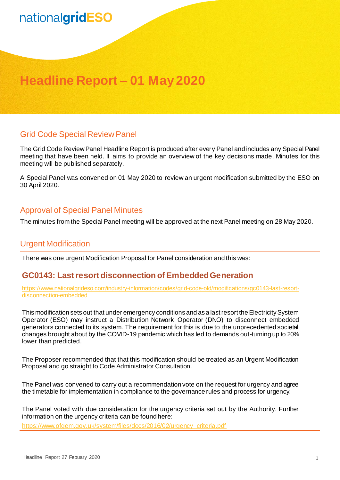# nationalgridESO

### **Headline Report – 01 May 2020**

#### Grid Code Special Review Panel

The Grid Code Review Panel Headline Report is produced after every Panel and includes any Special Panel meeting that have been held. It aims to provide an overview of the key decisions made. Minutes for this meeting will be published separately.

A Special Panel was convened on 01 May 2020 to review an urgent modification submitted by the ESO on 30 April 2020.

#### Approval of Special Panel Minutes

The minutes from the Special Panel meeting will be approved at the next Panel meeting on 28 May 2020.

#### Urgent Modification

There was one urgent Modification Proposal for Panel consideration and this was:

#### **GC0143: Last resort disconnection of Embedded Generation**

[https://www.nationalgrideso.com/industry-information/codes/grid-code-old/modifications/gc0143-last-resort](https://www.nationalgrideso.com/industry-information/codes/grid-code-old/modifications/gc0143-last-resort-disconnection-embedded)[disconnection-embedded](https://www.nationalgrideso.com/industry-information/codes/grid-code-old/modifications/gc0143-last-resort-disconnection-embedded)

This modification sets out that under emergency conditions and as a last resort the Electricity System Operator (ESO) may instruct a Distribution Network Operator (DNO) to disconnect embedded generators connected to its system. The requirement for this is due to the unprecedented societal changes brought about by the COVID-19 pandemic which has led to demands out-turning up to 20% lower than predicted.

The Proposer recommended that that this modification should be treated as an Urgent Modification Proposal and go straight to Code Administrator Consultation.

The Panel was convened to carry out a recommendation vote on the request for urgency and agree the timetable for implementation in compliance to the governance rules and process for urgency.

The Panel voted with due consideration for the urgency criteria set out by the Authority. Further information on the urgency criteria can be found here:

[https://www.ofgem.gov.uk/system/files/docs/2016/02/urgency\\_criteria.pdf](https://www.ofgem.gov.uk/system/files/docs/2016/02/urgency_criteria.pdf)